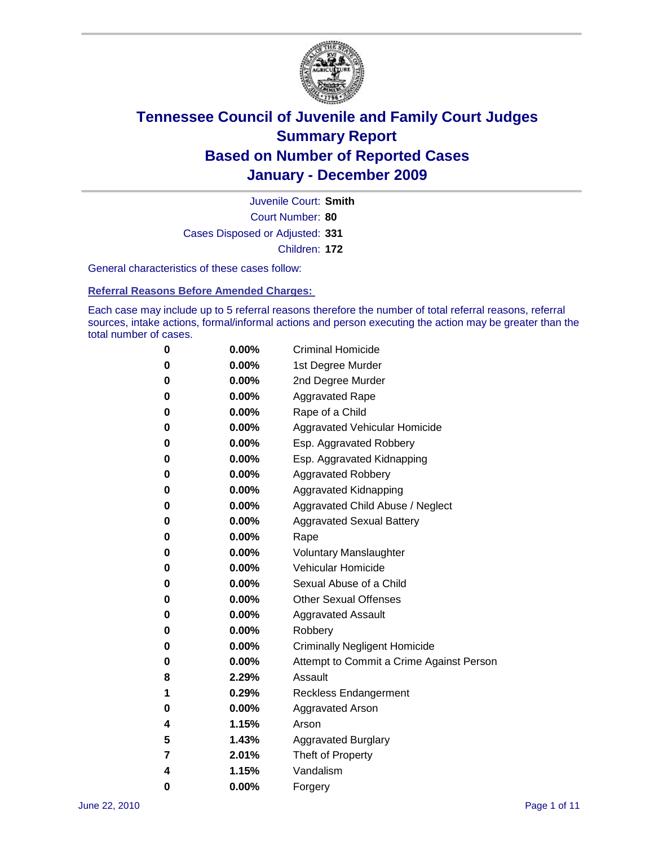

Court Number: **80** Juvenile Court: **Smith** Cases Disposed or Adjusted: **331** Children: **172**

General characteristics of these cases follow:

**Referral Reasons Before Amended Charges:** 

Each case may include up to 5 referral reasons therefore the number of total referral reasons, referral sources, intake actions, formal/informal actions and person executing the action may be greater than the total number of cases.

| 0 | $0.00\%$ | <b>Criminal Homicide</b>                 |
|---|----------|------------------------------------------|
| 0 | $0.00\%$ | 1st Degree Murder                        |
| 0 | $0.00\%$ | 2nd Degree Murder                        |
| 0 | $0.00\%$ | <b>Aggravated Rape</b>                   |
| 0 | $0.00\%$ | Rape of a Child                          |
| 0 | $0.00\%$ | Aggravated Vehicular Homicide            |
| 0 | $0.00\%$ | Esp. Aggravated Robbery                  |
| 0 | $0.00\%$ | Esp. Aggravated Kidnapping               |
| 0 | $0.00\%$ | <b>Aggravated Robbery</b>                |
| 0 | $0.00\%$ | Aggravated Kidnapping                    |
| 0 | $0.00\%$ | Aggravated Child Abuse / Neglect         |
| 0 | $0.00\%$ | <b>Aggravated Sexual Battery</b>         |
| 0 | 0.00%    | Rape                                     |
| 0 | $0.00\%$ | <b>Voluntary Manslaughter</b>            |
| 0 | $0.00\%$ | Vehicular Homicide                       |
| 0 | $0.00\%$ | Sexual Abuse of a Child                  |
| 0 | $0.00\%$ | <b>Other Sexual Offenses</b>             |
| 0 | $0.00\%$ | <b>Aggravated Assault</b>                |
| 0 | $0.00\%$ | Robbery                                  |
| 0 | $0.00\%$ | <b>Criminally Negligent Homicide</b>     |
| 0 | $0.00\%$ | Attempt to Commit a Crime Against Person |
| 8 | 2.29%    | Assault                                  |
| 1 | 0.29%    | <b>Reckless Endangerment</b>             |
| 0 | 0.00%    | <b>Aggravated Arson</b>                  |
| 4 | 1.15%    | Arson                                    |
| 5 | 1.43%    | <b>Aggravated Burglary</b>               |
| 7 | 2.01%    | Theft of Property                        |
| 4 | 1.15%    | Vandalism                                |
| 0 | 0.00%    | Forgery                                  |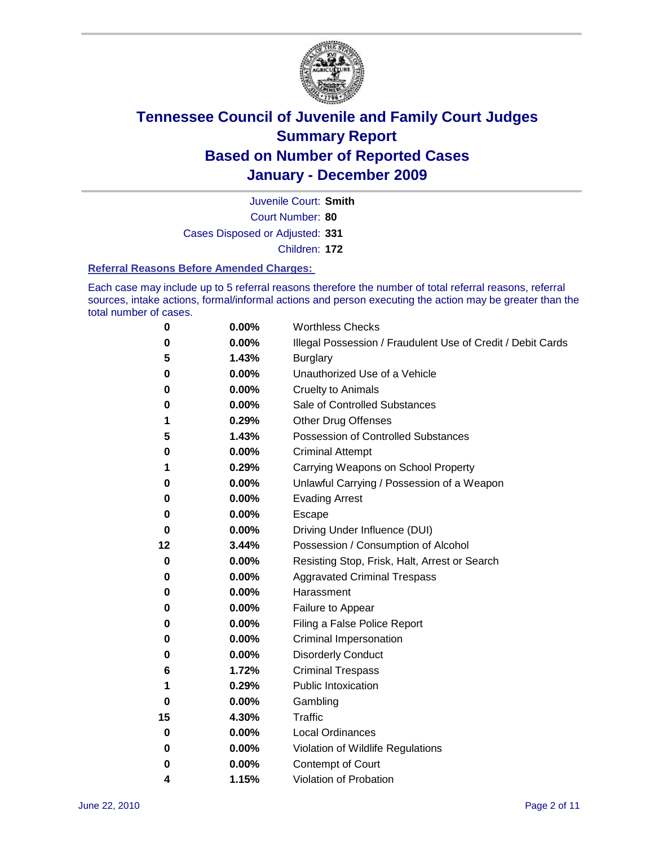

Court Number: **80** Juvenile Court: **Smith** Cases Disposed or Adjusted: **331**

Children: **172**

#### **Referral Reasons Before Amended Charges:**

Each case may include up to 5 referral reasons therefore the number of total referral reasons, referral sources, intake actions, formal/informal actions and person executing the action may be greater than the total number of cases.

| 0  | 0.00% | <b>Worthless Checks</b>                                     |
|----|-------|-------------------------------------------------------------|
| 0  | 0.00% | Illegal Possession / Fraudulent Use of Credit / Debit Cards |
| 5  | 1.43% | <b>Burglary</b>                                             |
| 0  | 0.00% | Unauthorized Use of a Vehicle                               |
| 0  | 0.00% | <b>Cruelty to Animals</b>                                   |
| 0  | 0.00% | Sale of Controlled Substances                               |
| 1  | 0.29% | <b>Other Drug Offenses</b>                                  |
| 5  | 1.43% | <b>Possession of Controlled Substances</b>                  |
| 0  | 0.00% | <b>Criminal Attempt</b>                                     |
| 1  | 0.29% | Carrying Weapons on School Property                         |
| 0  | 0.00% | Unlawful Carrying / Possession of a Weapon                  |
| 0  | 0.00% | <b>Evading Arrest</b>                                       |
| 0  | 0.00% | Escape                                                      |
| 0  | 0.00% | Driving Under Influence (DUI)                               |
| 12 | 3.44% | Possession / Consumption of Alcohol                         |
| 0  | 0.00% | Resisting Stop, Frisk, Halt, Arrest or Search               |
| 0  | 0.00% | <b>Aggravated Criminal Trespass</b>                         |
| 0  | 0.00% | Harassment                                                  |
| 0  | 0.00% | Failure to Appear                                           |
| 0  | 0.00% | Filing a False Police Report                                |
| 0  | 0.00% | Criminal Impersonation                                      |
| 0  | 0.00% | <b>Disorderly Conduct</b>                                   |
| 6  | 1.72% | <b>Criminal Trespass</b>                                    |
| 1  | 0.29% | <b>Public Intoxication</b>                                  |
| 0  | 0.00% | Gambling                                                    |
| 15 | 4.30% | <b>Traffic</b>                                              |
| 0  | 0.00% | <b>Local Ordinances</b>                                     |
| 0  | 0.00% | Violation of Wildlife Regulations                           |
| 0  | 0.00% | Contempt of Court                                           |
| 4  | 1.15% | Violation of Probation                                      |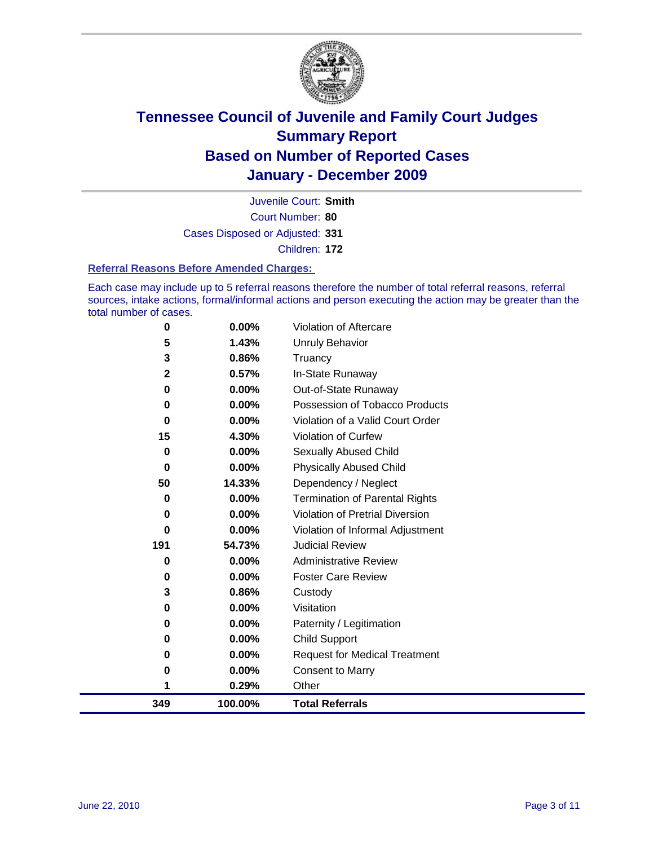

Court Number: **80** Juvenile Court: **Smith** Cases Disposed or Adjusted: **331** Children: **172**

#### **Referral Reasons Before Amended Charges:**

Each case may include up to 5 referral reasons therefore the number of total referral reasons, referral sources, intake actions, formal/informal actions and person executing the action may be greater than the total number of cases.

| 349          | 100.00%        | <b>Total Referrals</b>                 |
|--------------|----------------|----------------------------------------|
| 1            | 0.29%          | Other                                  |
| 0            | 0.00%          | <b>Consent to Marry</b>                |
| 0            | $0.00\%$       | <b>Request for Medical Treatment</b>   |
| 0            | 0.00%          | <b>Child Support</b>                   |
| 0            | 0.00%          | Paternity / Legitimation               |
| 0            | 0.00%          | Visitation                             |
| 3            | 0.86%          | Custody                                |
| 0            | 0.00%          | <b>Foster Care Review</b>              |
| 0            | $0.00\%$       | <b>Administrative Review</b>           |
| 191          | 54.73%         | <b>Judicial Review</b>                 |
| 0            | 0.00%          | Violation of Informal Adjustment       |
| 0            | $0.00\%$       | <b>Violation of Pretrial Diversion</b> |
| 0            | $0.00\%$       | Termination of Parental Rights         |
| 50           | 14.33%         | Dependency / Neglect                   |
| $\bf{0}$     | $0.00\%$       | <b>Physically Abused Child</b>         |
| 0            | 0.00%          | Sexually Abused Child                  |
| 15           | 4.30%          | Violation of Curfew                    |
| 0            | $0.00\%$       | Violation of a Valid Court Order       |
| 0            | 0.00%          | Possession of Tobacco Products         |
| 0            | $0.00\%$       | Out-of-State Runaway                   |
| $\mathbf{2}$ | 0.86%<br>0.57% | Truancy<br>In-State Runaway            |
| 5<br>3       | 1.43%          | <b>Unruly Behavior</b>                 |
| 0            | $0.00\%$       | Violation of Aftercare                 |
|              |                |                                        |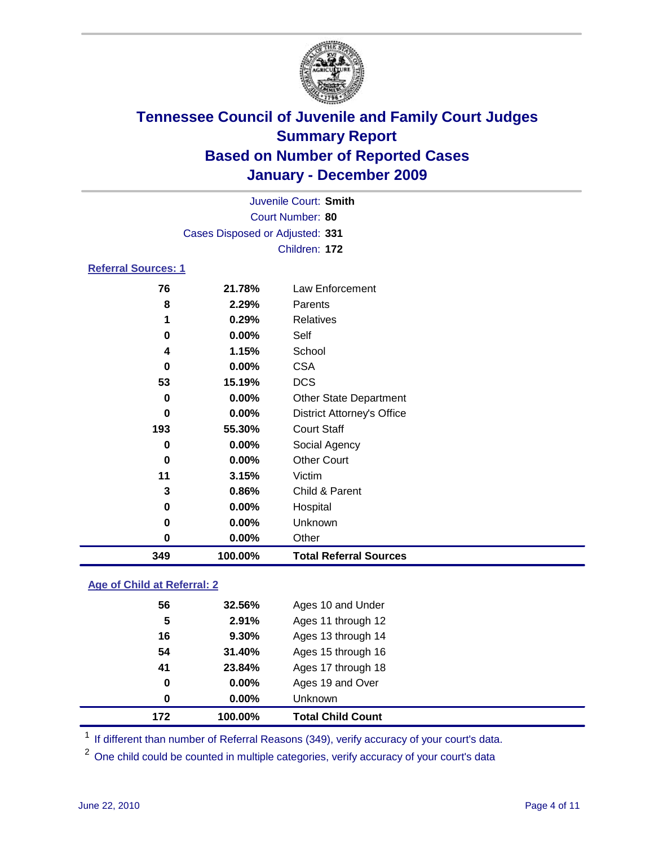

|                            | Juvenile Court: Smith           |                                   |  |  |
|----------------------------|---------------------------------|-----------------------------------|--|--|
| Court Number: 80           |                                 |                                   |  |  |
|                            | Cases Disposed or Adjusted: 331 |                                   |  |  |
|                            |                                 | Children: 172                     |  |  |
| <b>Referral Sources: 1</b> |                                 |                                   |  |  |
| 76                         | 21.78%                          | Law Enforcement                   |  |  |
| 8                          | 2.29%                           | Parents                           |  |  |
| 1                          | 0.29%                           | <b>Relatives</b>                  |  |  |
| 0                          | $0.00\%$                        | Self                              |  |  |
| 4                          | 1.15%                           | School                            |  |  |
| 0                          | 0.00%                           | <b>CSA</b>                        |  |  |
| 53                         | 15.19%                          | <b>DCS</b>                        |  |  |
| $\bf{0}$                   | 0.00%                           | <b>Other State Department</b>     |  |  |
| 0                          | 0.00%                           | <b>District Attorney's Office</b> |  |  |
| 193                        | 55.30%                          | <b>Court Staff</b>                |  |  |
| 0                          | 0.00%                           | Social Agency                     |  |  |
| $\bf{0}$                   | 0.00%                           | <b>Other Court</b>                |  |  |
| 11                         | 3.15%                           | Victim                            |  |  |
| 3                          | 0.86%                           | Child & Parent                    |  |  |
| 0                          | $0.00\%$                        | Hospital                          |  |  |
| 0                          | 0.00%                           | Unknown                           |  |  |
| 0                          | 0.00%                           | Other                             |  |  |
| 349                        | 100.00%                         | <b>Total Referral Sources</b>     |  |  |

### **Age of Child at Referral: 2**

| 172 | 100.00% | <b>Total Child Count</b> |  |
|-----|---------|--------------------------|--|
| 0   | 0.00%   | Unknown                  |  |
| 0   | 0.00%   | Ages 19 and Over         |  |
| 41  | 23.84%  | Ages 17 through 18       |  |
| 54  | 31.40%  | Ages 15 through 16       |  |
| 16  | 9.30%   | Ages 13 through 14       |  |
| 5   | 2.91%   | Ages 11 through 12       |  |
| 56  | 32.56%  | Ages 10 and Under        |  |
|     |         |                          |  |

<sup>1</sup> If different than number of Referral Reasons (349), verify accuracy of your court's data.

<sup>2</sup> One child could be counted in multiple categories, verify accuracy of your court's data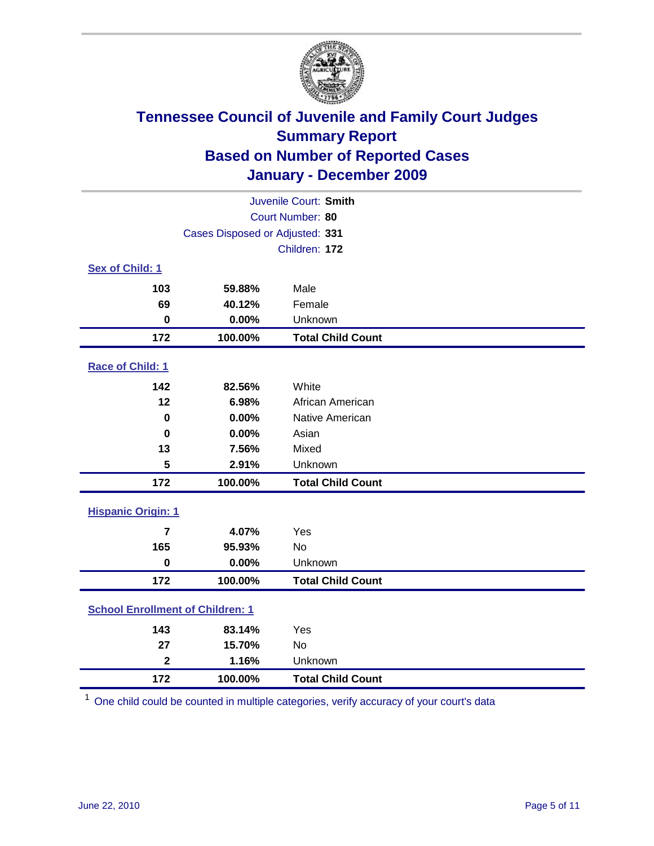

| Juvenile Court: Smith                   |                                 |                          |  |  |
|-----------------------------------------|---------------------------------|--------------------------|--|--|
|                                         | Court Number: 80                |                          |  |  |
|                                         | Cases Disposed or Adjusted: 331 |                          |  |  |
|                                         |                                 | Children: 172            |  |  |
| Sex of Child: 1                         |                                 |                          |  |  |
| 103                                     | 59.88%                          | Male                     |  |  |
| 69                                      | 40.12%                          | Female                   |  |  |
| $\bf{0}$                                | 0.00%                           | Unknown                  |  |  |
| 172                                     | 100.00%                         | <b>Total Child Count</b> |  |  |
| Race of Child: 1                        |                                 |                          |  |  |
| 142                                     | 82.56%                          | White                    |  |  |
| 12                                      | 6.98%                           | African American         |  |  |
| $\mathbf 0$                             | 0.00%                           | Native American          |  |  |
| $\mathbf 0$                             | 0.00%                           | Asian                    |  |  |
| 13                                      | 7.56%                           | Mixed                    |  |  |
| 5                                       | 2.91%                           | Unknown                  |  |  |
| 172                                     | 100.00%                         | <b>Total Child Count</b> |  |  |
| <b>Hispanic Origin: 1</b>               |                                 |                          |  |  |
| $\overline{7}$                          | 4.07%                           | Yes                      |  |  |
| 165                                     | 95.93%                          | <b>No</b>                |  |  |
| $\mathbf 0$                             | 0.00%                           | Unknown                  |  |  |
| 172                                     | 100.00%                         | <b>Total Child Count</b> |  |  |
| <b>School Enrollment of Children: 1</b> |                                 |                          |  |  |
| 143                                     | 83.14%                          | Yes                      |  |  |
| 27                                      | 15.70%                          | No                       |  |  |
| $\overline{\mathbf{2}}$                 | 1.16%                           | Unknown                  |  |  |
| 172                                     | 100.00%                         | <b>Total Child Count</b> |  |  |

One child could be counted in multiple categories, verify accuracy of your court's data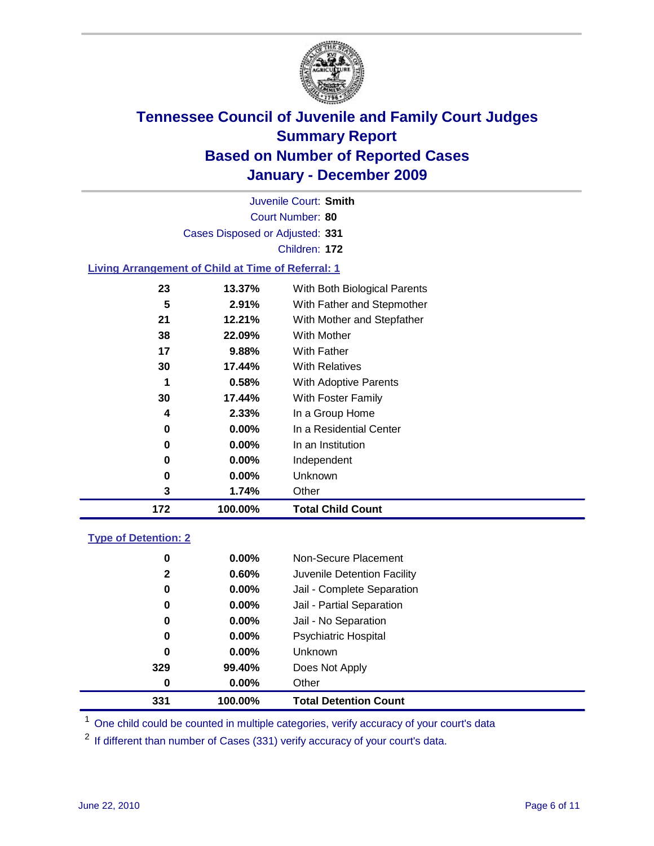

Court Number: **80** Juvenile Court: **Smith** Cases Disposed or Adjusted: **331** Children: **172 Living Arrangement of Child at Time of Referral: 1**

| 172 | 100.00%  | <b>Total Child Count</b>     |
|-----|----------|------------------------------|
| 3   | 1.74%    | Other                        |
| 0   | $0.00\%$ | Unknown                      |
| 0   | $0.00\%$ | Independent                  |
| 0   | $0.00\%$ | In an Institution            |
| 0   | $0.00\%$ | In a Residential Center      |
| 4   | 2.33%    | In a Group Home              |
| 30  | 17.44%   | With Foster Family           |
| 1   | 0.58%    | <b>With Adoptive Parents</b> |
| 30  | 17.44%   | <b>With Relatives</b>        |
| 17  | 9.88%    | With Father                  |
| 38  | 22.09%   | With Mother                  |
| 21  | 12.21%   | With Mother and Stepfather   |
| 5   | 2.91%    | With Father and Stepmother   |
| 23  | 13.37%   | With Both Biological Parents |

### **Type of Detention: 2**

| 331          | 100.00%  | <b>Total Detention Count</b> |  |
|--------------|----------|------------------------------|--|
| 0            | 0.00%    | Other                        |  |
| 329          | 99.40%   | Does Not Apply               |  |
| 0            | 0.00%    | Unknown                      |  |
| 0            | $0.00\%$ | <b>Psychiatric Hospital</b>  |  |
| 0            | 0.00%    | Jail - No Separation         |  |
| 0            | $0.00\%$ | Jail - Partial Separation    |  |
| 0            | 0.00%    | Jail - Complete Separation   |  |
| $\mathbf{2}$ | 0.60%    | Juvenile Detention Facility  |  |
| 0            | $0.00\%$ | Non-Secure Placement         |  |
|              |          |                              |  |

<sup>1</sup> One child could be counted in multiple categories, verify accuracy of your court's data

<sup>2</sup> If different than number of Cases (331) verify accuracy of your court's data.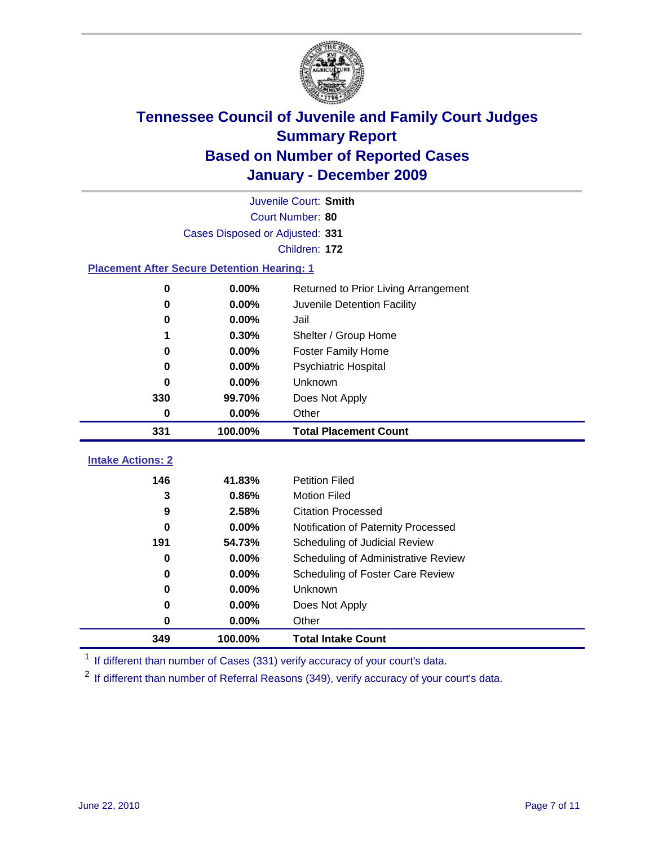

|                                                    | Juvenile Court: Smith           |                                      |  |  |
|----------------------------------------------------|---------------------------------|--------------------------------------|--|--|
|                                                    | Court Number: 80                |                                      |  |  |
|                                                    | Cases Disposed or Adjusted: 331 |                                      |  |  |
|                                                    |                                 | Children: 172                        |  |  |
| <b>Placement After Secure Detention Hearing: 1</b> |                                 |                                      |  |  |
| 0                                                  | 0.00%                           | Returned to Prior Living Arrangement |  |  |
| 0                                                  | 0.00%                           | Juvenile Detention Facility          |  |  |
| 0                                                  | 0.00%                           | Jail                                 |  |  |
| 1                                                  | 0.30%                           | Shelter / Group Home                 |  |  |
| 0                                                  | 0.00%                           | Foster Family Home                   |  |  |
| 0                                                  | 0.00%                           | Psychiatric Hospital                 |  |  |
| 0                                                  | 0.00%                           | Unknown                              |  |  |
| 330                                                | 99.70%                          | Does Not Apply                       |  |  |
| 0                                                  | 0.00%                           | Other                                |  |  |
| 331                                                | 100.00%                         | <b>Total Placement Count</b>         |  |  |
| <b>Intake Actions: 2</b>                           |                                 |                                      |  |  |
| 146                                                | 41.83%                          | <b>Petition Filed</b>                |  |  |
| 3                                                  | 0.86%                           | <b>Motion Filed</b>                  |  |  |
| 9                                                  | 2.58%                           | <b>Citation Processed</b>            |  |  |
| $\bf{0}$                                           | 0.00%                           | Notification of Paternity Processed  |  |  |
| 191                                                | 54.73%                          | Scheduling of Judicial Review        |  |  |
| 0                                                  | 0.00%                           | Scheduling of Administrative Review  |  |  |
| 0                                                  | 0.00%                           | Scheduling of Foster Care Review     |  |  |
| 0                                                  | 0.00%                           | Unknown                              |  |  |
| 0                                                  | 0.00%                           | Does Not Apply                       |  |  |
| 0                                                  | 0.00%                           | Other                                |  |  |
|                                                    |                                 |                                      |  |  |

<sup>1</sup> If different than number of Cases (331) verify accuracy of your court's data.

<sup>2</sup> If different than number of Referral Reasons (349), verify accuracy of your court's data.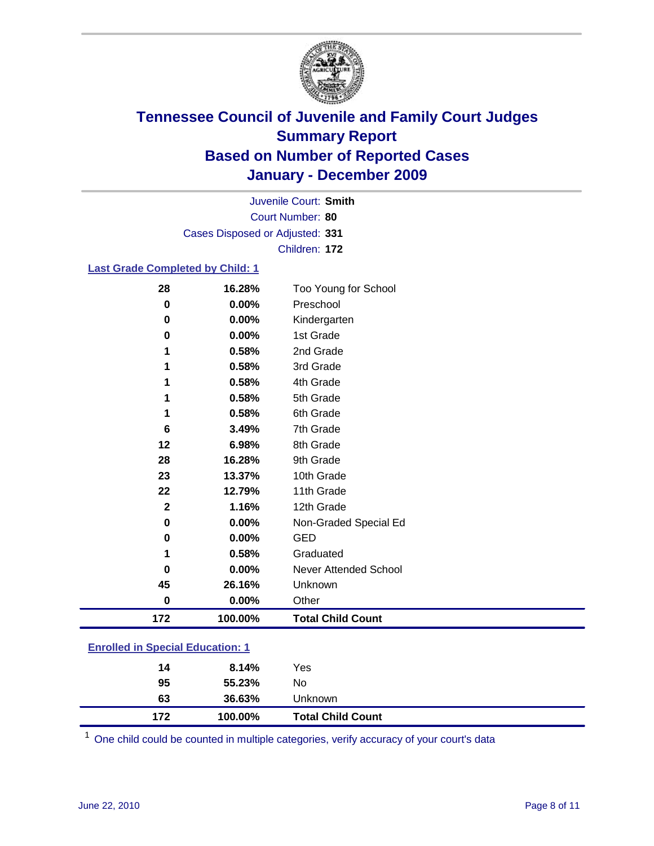

Court Number: **80** Juvenile Court: **Smith** Cases Disposed or Adjusted: **331** Children: **172**

#### **Last Grade Completed by Child: 1**

| 28                                      | 16.28%  | Too Young for School     |  |
|-----------------------------------------|---------|--------------------------|--|
| $\bf{0}$                                | 0.00%   | Preschool                |  |
| $\bf{0}$                                | 0.00%   | Kindergarten             |  |
| 0                                       | 0.00%   | 1st Grade                |  |
| 1                                       | 0.58%   | 2nd Grade                |  |
|                                         | 0.58%   | 3rd Grade                |  |
|                                         | 0.58%   | 4th Grade                |  |
|                                         | 0.58%   | 5th Grade                |  |
| 1                                       | 0.58%   | 6th Grade                |  |
| 6                                       | 3.49%   | 7th Grade                |  |
| 12                                      | 6.98%   | 8th Grade                |  |
| 28                                      | 16.28%  | 9th Grade                |  |
| 23                                      | 13.37%  | 10th Grade               |  |
| 22                                      | 12.79%  | 11th Grade               |  |
| $\mathbf{2}$                            | 1.16%   | 12th Grade               |  |
| 0                                       | 0.00%   | Non-Graded Special Ed    |  |
| 0                                       | 0.00%   | <b>GED</b>               |  |
| 1                                       | 0.58%   | Graduated                |  |
| 0                                       | 0.00%   | Never Attended School    |  |
| 45                                      | 26.16%  | Unknown                  |  |
| $\bf{0}$                                | 0.00%   | Other                    |  |
| 172                                     | 100.00% | <b>Total Child Count</b> |  |
| <b>Enrolled in Special Education: 1</b> |         |                          |  |

| 172 | 100.00% | <b>Total Child Count</b> |  |
|-----|---------|--------------------------|--|
| 63  | 36.63%  | Unknown                  |  |
| 95  | 55.23%  | No.                      |  |
| 14  | 8.14%   | Yes                      |  |
|     |         |                          |  |

One child could be counted in multiple categories, verify accuracy of your court's data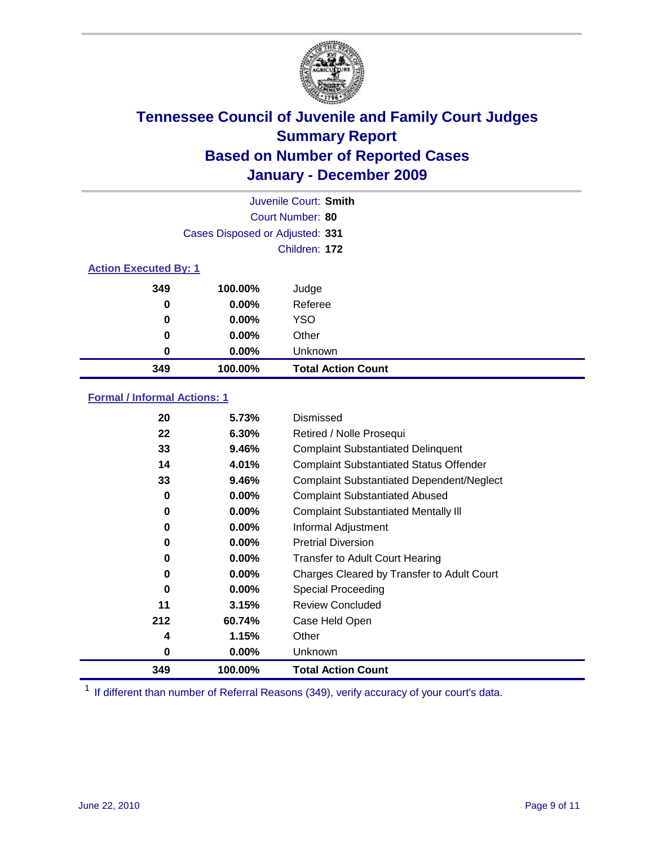

|                              | Juvenile Court: Smith           |                           |  |  |
|------------------------------|---------------------------------|---------------------------|--|--|
|                              | Court Number: 80                |                           |  |  |
|                              | Cases Disposed or Adjusted: 331 |                           |  |  |
|                              |                                 | Children: 172             |  |  |
| <b>Action Executed By: 1</b> |                                 |                           |  |  |
| 349                          | 100.00%                         | Judge                     |  |  |
| $\bf{0}$                     | $0.00\%$                        | Referee                   |  |  |
| $\bf{0}$                     | 0.00%                           | <b>YSO</b>                |  |  |
| 0                            | 0.00%                           | Other                     |  |  |
| 0                            | 0.00%                           | Unknown                   |  |  |
| 349                          | 100.00%                         | <b>Total Action Count</b> |  |  |

### **Formal / Informal Actions: 1**

| 20  | 5.73%    | Dismissed                                        |
|-----|----------|--------------------------------------------------|
| 22  | 6.30%    | Retired / Nolle Prosequi                         |
| 33  | 9.46%    | <b>Complaint Substantiated Delinquent</b>        |
| 14  | 4.01%    | <b>Complaint Substantiated Status Offender</b>   |
| 33  | 9.46%    | <b>Complaint Substantiated Dependent/Neglect</b> |
| 0   | $0.00\%$ | <b>Complaint Substantiated Abused</b>            |
| 0   | $0.00\%$ | <b>Complaint Substantiated Mentally III</b>      |
| 0   | $0.00\%$ | Informal Adjustment                              |
| 0   | $0.00\%$ | <b>Pretrial Diversion</b>                        |
| 0   | $0.00\%$ | <b>Transfer to Adult Court Hearing</b>           |
| 0   | $0.00\%$ | Charges Cleared by Transfer to Adult Court       |
| 0   | $0.00\%$ | Special Proceeding                               |
| 11  | 3.15%    | <b>Review Concluded</b>                          |
| 212 | 60.74%   | Case Held Open                                   |
| 4   | 1.15%    | Other                                            |
| 0   | $0.00\%$ | <b>Unknown</b>                                   |
| 349 | 100.00%  | <b>Total Action Count</b>                        |

<sup>1</sup> If different than number of Referral Reasons (349), verify accuracy of your court's data.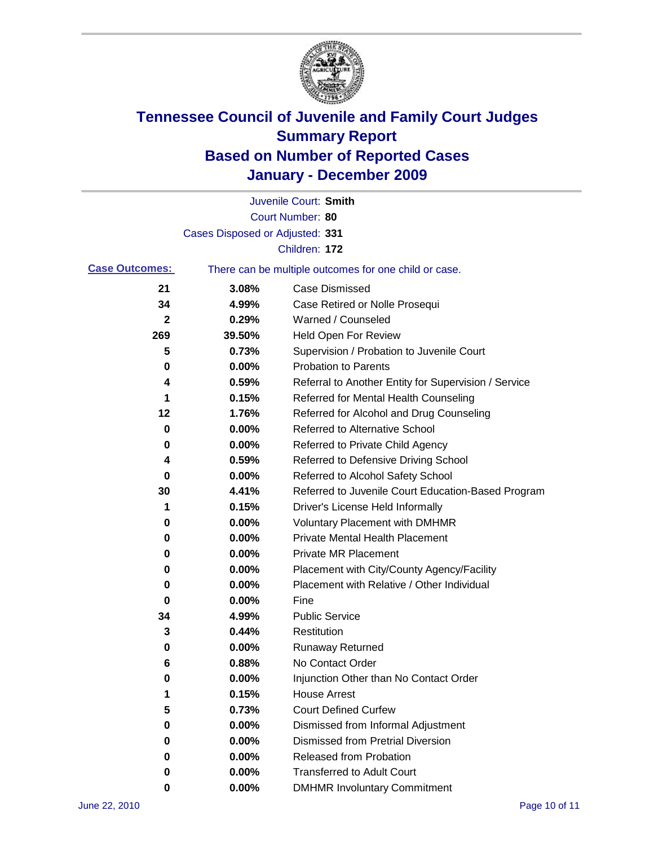

|                       |                                 | Juvenile Court: Smith                                 |
|-----------------------|---------------------------------|-------------------------------------------------------|
|                       |                                 | Court Number: 80                                      |
|                       | Cases Disposed or Adjusted: 331 |                                                       |
|                       |                                 | Children: 172                                         |
| <b>Case Outcomes:</b> |                                 | There can be multiple outcomes for one child or case. |
| 21                    | 3.08%                           | <b>Case Dismissed</b>                                 |
| 34                    | 4.99%                           | Case Retired or Nolle Prosequi                        |
| 2                     | 0.29%                           | Warned / Counseled                                    |
| 269                   | 39.50%                          | Held Open For Review                                  |
| 5                     | 0.73%                           | Supervision / Probation to Juvenile Court             |
| 0                     | 0.00%                           | <b>Probation to Parents</b>                           |
| 4                     | 0.59%                           | Referral to Another Entity for Supervision / Service  |
| 1                     | 0.15%                           | Referred for Mental Health Counseling                 |
| 12                    | 1.76%                           | Referred for Alcohol and Drug Counseling              |
| 0                     | 0.00%                           | <b>Referred to Alternative School</b>                 |
| 0                     | 0.00%                           | Referred to Private Child Agency                      |
| 4                     | 0.59%                           | Referred to Defensive Driving School                  |
| 0                     | 0.00%                           | Referred to Alcohol Safety School                     |
| 30                    | 4.41%                           | Referred to Juvenile Court Education-Based Program    |
| 1                     | 0.15%                           | Driver's License Held Informally                      |
| 0                     | 0.00%                           | <b>Voluntary Placement with DMHMR</b>                 |
| 0                     | 0.00%                           | <b>Private Mental Health Placement</b>                |
| 0                     | 0.00%                           | <b>Private MR Placement</b>                           |
| 0                     | 0.00%                           | Placement with City/County Agency/Facility            |
| 0                     | 0.00%                           | Placement with Relative / Other Individual            |
| 0                     | 0.00%                           | Fine                                                  |
| 34                    | 4.99%                           | <b>Public Service</b>                                 |
| 3                     | 0.44%                           | Restitution                                           |
| 0                     | 0.00%                           | <b>Runaway Returned</b>                               |
| 6                     | 0.88%                           | No Contact Order                                      |
| 0                     | 0.00%                           | Injunction Other than No Contact Order                |
|                       | 0.15%                           | <b>House Arrest</b>                                   |
| 5                     | 0.73%                           | <b>Court Defined Curfew</b>                           |
| 0                     | 0.00%                           | Dismissed from Informal Adjustment                    |
| 0                     | 0.00%                           | <b>Dismissed from Pretrial Diversion</b>              |
| 0                     | 0.00%                           | Released from Probation                               |
| 0                     | 0.00%                           | <b>Transferred to Adult Court</b>                     |
| 0                     | 0.00%                           | <b>DMHMR Involuntary Commitment</b>                   |